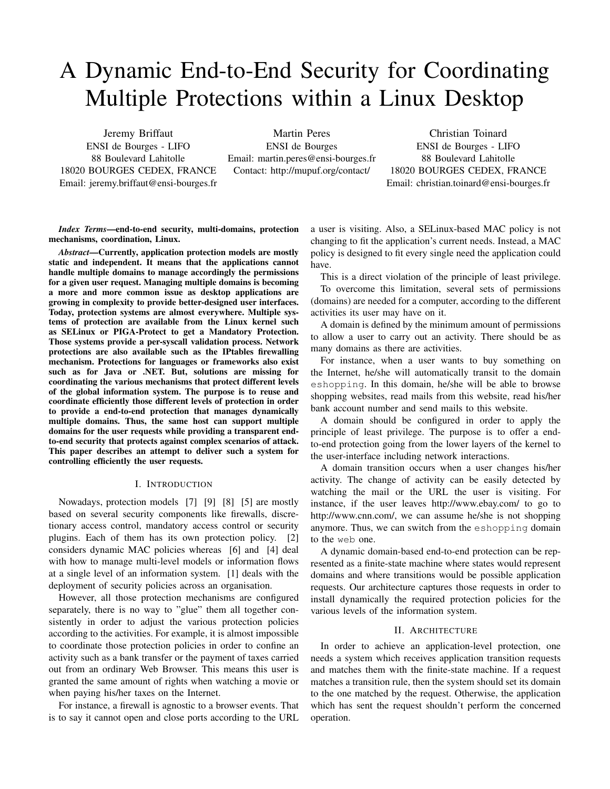# A Dynamic End-to-End Security for Coordinating Multiple Protections within a Linux Desktop

Jeremy Briffaut ENSI de Bourges - LIFO 88 Boulevard Lahitolle 18020 BOURGES CEDEX, FRANCE Email: jeremy.briffaut@ensi-bourges.fr

Martin Peres ENSI de Bourges Email: martin.peres@ensi-bourges.fr Contact: http://mupuf.org/contact/

Christian Toinard ENSI de Bourges - LIFO 88 Boulevard Lahitolle 18020 BOURGES CEDEX, FRANCE Email: christian.toinard@ensi-bourges.fr

*Index Terms*—end-to-end security, multi-domains, protection mechanisms, coordination, Linux.

*Abstract*—Currently, application protection models are mostly static and independent. It means that the applications cannot handle multiple domains to manage accordingly the permissions for a given user request. Managing multiple domains is becoming a more and more common issue as desktop applications are growing in complexity to provide better-designed user interfaces. Today, protection systems are almost everywhere. Multiple systems of protection are available from the Linux kernel such as SELinux or PIGA-Protect to get a Mandatory Protection. Those systems provide a per-syscall validation process. Network protections are also available such as the IPtables firewalling mechanism. Protections for languages or frameworks also exist such as for Java or .NET. But, solutions are missing for coordinating the various mechanisms that protect different levels of the global information system. The purpose is to reuse and coordinate efficiently those different levels of protection in order to provide a end-to-end protection that manages dynamically multiple domains. Thus, the same host can support multiple domains for the user requests while providing a transparent endto-end security that protects against complex scenarios of attack. This paper describes an attempt to deliver such a system for controlling efficiently the user requests.

## I. INTRODUCTION

Nowadays, protection models [7] [9] [8] [5] are mostly based on several security components like firewalls, discretionary access control, mandatory access control or security plugins. Each of them has its own protection policy. [2] considers dynamic MAC policies whereas [6] and [4] deal with how to manage multi-level models or information flows at a single level of an information system. [1] deals with the deployment of security policies across an organisation.

However, all those protection mechanisms are configured separately, there is no way to "glue" them all together consistently in order to adjust the various protection policies according to the activities. For example, it is almost impossible to coordinate those protection policies in order to confine an activity such as a bank transfer or the payment of taxes carried out from an ordinary Web Browser. This means this user is granted the same amount of rights when watching a movie or when paying his/her taxes on the Internet.

For instance, a firewall is agnostic to a browser events. That is to say it cannot open and close ports according to the URL

a user is visiting. Also, a SELinux-based MAC policy is not changing to fit the application's current needs. Instead, a MAC policy is designed to fit every single need the application could have.

This is a direct violation of the principle of least privilege.

To overcome this limitation, several sets of permissions (domains) are needed for a computer, according to the different activities its user may have on it.

A domain is defined by the minimum amount of permissions to allow a user to carry out an activity. There should be as many domains as there are activities.

For instance, when a user wants to buy something on the Internet, he/she will automatically transit to the domain eshopping. In this domain, he/she will be able to browse shopping websites, read mails from this website, read his/her bank account number and send mails to this website.

A domain should be configured in order to apply the principle of least privilege. The purpose is to offer a endto-end protection going from the lower layers of the kernel to the user-interface including network interactions.

A domain transition occurs when a user changes his/her activity. The change of activity can be easily detected by watching the mail or the URL the user is visiting. For instance, if the user leaves http://www.ebay.com/ to go to http://www.cnn.com/, we can assume he/she is not shopping anymore. Thus, we can switch from the eshopping domain to the web one.

A dynamic domain-based end-to-end protection can be represented as a finite-state machine where states would represent domains and where transitions would be possible application requests. Our architecture captures those requests in order to install dynamically the required protection policies for the various levels of the information system.

#### II. ARCHITECTURE

In order to achieve an application-level protection, one needs a system which receives application transition requests and matches them with the finite-state machine. If a request matches a transition rule, then the system should set its domain to the one matched by the request. Otherwise, the application which has sent the request shouldn't perform the concerned operation.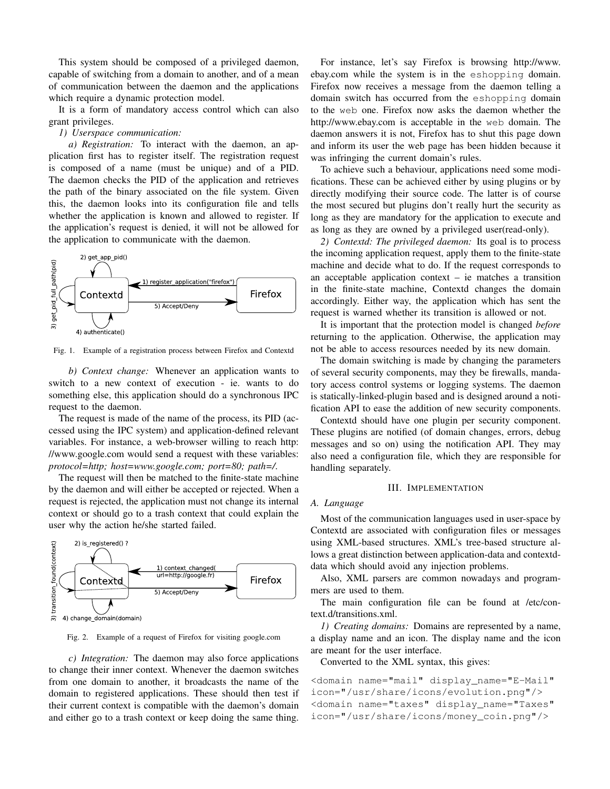This system should be composed of a privileged daemon, capable of switching from a domain to another, and of a mean of communication between the daemon and the applications which require a dynamic protection model.

It is a form of mandatory access control which can also grant privileges.

#### *1) Userspace communication:*

*a) Registration:* To interact with the daemon, an application first has to register itself. The registration request is composed of a name (must be unique) and of a PID. The daemon checks the PID of the application and retrieves the path of the binary associated on the file system. Given this, the daemon looks into its configuration file and tells whether the application is known and allowed to register. If the application's request is denied, it will not be allowed for the application to communicate with the daemon.



Fig. 1. Example of a registration process between Firefox and Contextd

*b) Context change:* Whenever an application wants to switch to a new context of execution - ie. wants to do something else, this application should do a synchronous IPC request to the daemon.

The request is made of the name of the process, its PID (accessed using the IPC system) and application-defined relevant variables. For instance, a web-browser willing to reach http: //www.google.com would send a request with these variables: *protocol=http; host=www.google.com; port=80; path=/*.

The request will then be matched to the finite-state machine by the daemon and will either be accepted or rejected. When a request is rejected, the application must not change its internal context or should go to a trash context that could explain the user why the action he/she started failed.



Fig. 2. Example of a request of Firefox for visiting google.com

*c) Integration:* The daemon may also force applications to change their inner context. Whenever the daemon switches from one domain to another, it broadcasts the name of the domain to registered applications. These should then test if their current context is compatible with the daemon's domain and either go to a trash context or keep doing the same thing.

For instance, let's say Firefox is browsing http://www. ebay.com while the system is in the eshopping domain. Firefox now receives a message from the daemon telling a domain switch has occurred from the eshopping domain to the web one. Firefox now asks the daemon whether the http://www.ebay.com is acceptable in the web domain. The daemon answers it is not, Firefox has to shut this page down and inform its user the web page has been hidden because it was infringing the current domain's rules.

To achieve such a behaviour, applications need some modifications. These can be achieved either by using plugins or by directly modifying their source code. The latter is of course the most secured but plugins don't really hurt the security as long as they are mandatory for the application to execute and as long as they are owned by a privileged user(read-only).

*2) Contextd: The privileged daemon:* Its goal is to process the incoming application request, apply them to the finite-state machine and decide what to do. If the request corresponds to an acceptable application context – ie matches a transition in the finite-state machine, Contextd changes the domain accordingly. Either way, the application which has sent the request is warned whether its transition is allowed or not.

It is important that the protection model is changed *before* returning to the application. Otherwise, the application may not be able to access resources needed by its new domain.

The domain switching is made by changing the parameters of several security components, may they be firewalls, mandatory access control systems or logging systems. The daemon is statically-linked-plugin based and is designed around a notification API to ease the addition of new security components.

Contextd should have one plugin per security component. These plugins are notified (of domain changes, errors, debug messages and so on) using the notification API. They may also need a configuration file, which they are responsible for handling separately.

#### III. IMPLEMENTATION

#### *A. Language*

Most of the communication languages used in user-space by Contextd are associated with configuration files or messages using XML-based structures. XML's tree-based structure allows a great distinction between application-data and contextddata which should avoid any injection problems.

Also, XML parsers are common nowadays and programmers are used to them.

The main configuration file can be found at /etc/context.d/transitions.xml.

*1) Creating domains:* Domains are represented by a name, a display name and an icon. The display name and the icon are meant for the user interface.

Converted to the XML syntax, this gives:

```
<domain name="mail" display_name="E-Mail"
icon="/usr/share/icons/evolution.png"/>
<domain name="taxes" display_name="Taxes"
icon="/usr/share/icons/money_coin.png"/>
```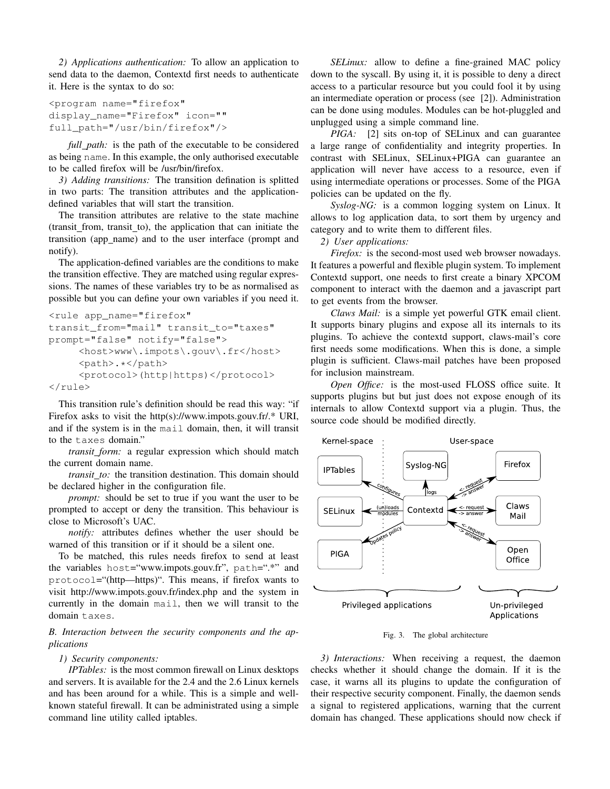*2) Applications authentication:* To allow an application to send data to the daemon, Contextd first needs to authenticate it. Here is the syntax to do so:

```
<program name="firefox"
display_name="Firefox" icon=""
full_path="/usr/bin/firefox"/>
```
*full path:* is the path of the executable to be considered as being name. In this example, the only authorised executable to be called firefox will be /usr/bin/firefox.

*3) Adding transitions:* The transition defination is splitted in two parts: The transition attributes and the applicationdefined variables that will start the transition.

The transition attributes are relative to the state machine (transit\_from, transit\_to), the application that can initiate the transition (app name) and to the user interface (prompt and notify).

The application-defined variables are the conditions to make the transition effective. They are matched using regular expressions. The names of these variables try to be as normalised as possible but you can define your own variables if you need it.

```
<rule app_name="firefox"
transit_from="mail" transit_to="taxes"
prompt="false" notify="false">
     <host>www\.impots\.gouv\.fr</host>
     <path>.*</path>
     <protocol>(http|https)</protocol>
\langle/rule\rangle
```
This transition rule's definition should be read this way: "if Firefox asks to visit the http(s)://www.impots.gouv.fr/.\* URI, and if the system is in the mail domain, then, it will transit to the taxes domain."

*transit form:* a regular expression which should match the current domain name.

*transit to:* the transition destination. This domain should be declared higher in the configuration file.

*prompt:* should be set to true if you want the user to be prompted to accept or deny the transition. This behaviour is close to Microsoft's UAC.

*notify:* attributes defines whether the user should be warned of this transition or if it should be a silent one.

To be matched, this rules needs firefox to send at least the variables host="www.impots.gouv.fr", path=".\*" and protocol="(http—https)". This means, if firefox wants to visit http://www.impots.gouv.fr/index.php and the system in currently in the domain mail, then we will transit to the domain taxes.

*B. Interaction between the security components and the applications*

## *1) Security components:*

*IPTables:* is the most common firewall on Linux desktops and servers. It is available for the 2.4 and the 2.6 Linux kernels and has been around for a while. This is a simple and wellknown stateful firewall. It can be administrated using a simple command line utility called iptables.

*SELinux:* allow to define a fine-grained MAC policy down to the syscall. By using it, it is possible to deny a direct access to a particular resource but you could fool it by using an intermediate operation or process (see [2]). Administration can be done using modules. Modules can be hot-pluggled and unplugged using a simple command line.

*PIGA:* [2] sits on-top of SELinux and can guarantee a large range of confidentiality and integrity properties. In contrast with SELinux, SELinux+PIGA can guarantee an application will never have access to a resource, even if using intermediate operations or processes. Some of the PIGA policies can be updated on the fly.

*Syslog-NG:* is a common logging system on Linux. It allows to log application data, to sort them by urgency and category and to write them to different files.

*2) User applications:*

*Firefox:* is the second-most used web browser nowadays. It features a powerful and flexible plugin system. To implement Contextd support, one needs to first create a binary XPCOM component to interact with the daemon and a javascript part to get events from the browser.

*Claws Mail:* is a simple yet powerful GTK email client. It supports binary plugins and expose all its internals to its plugins. To achieve the contextd support, claws-mail's core first needs some modifications. When this is done, a simple plugin is sufficient. Claws-mail patches have been proposed for inclusion mainstream.

*Open Office:* is the most-used FLOSS office suite. It supports plugins but but just does not expose enough of its internals to allow Contextd support via a plugin. Thus, the source code should be modified directly.



Fig. 3. The global architecture

*3) Interactions:* When receiving a request, the daemon checks whether it should change the domain. If it is the case, it warns all its plugins to update the configuration of their respective security component. Finally, the daemon sends a signal to registered applications, warning that the current domain has changed. These applications should now check if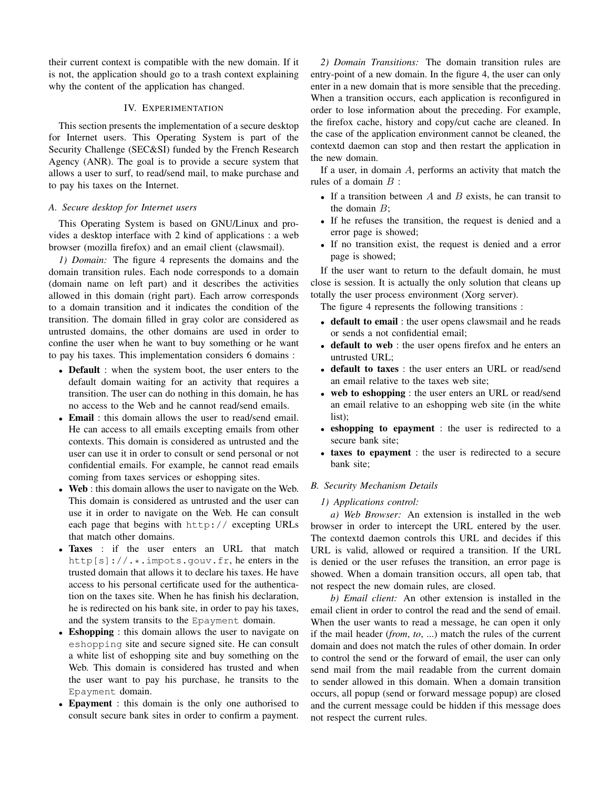their current context is compatible with the new domain. If it is not, the application should go to a trash context explaining why the content of the application has changed.

# IV. EXPERIMENTATION

This section presents the implementation of a secure desktop for Internet users. This Operating System is part of the Security Challenge (SEC&SI) funded by the French Research Agency (ANR). The goal is to provide a secure system that allows a user to surf, to read/send mail, to make purchase and to pay his taxes on the Internet.

## *A. Secure desktop for Internet users*

This Operating System is based on GNU/Linux and provides a desktop interface with 2 kind of applications : a web browser (mozilla firefox) and an email client (clawsmail).

*1) Domain:* The figure 4 represents the domains and the domain transition rules. Each node corresponds to a domain (domain name on left part) and it describes the activities allowed in this domain (right part). Each arrow corresponds to a domain transition and it indicates the condition of the transition. The domain filled in gray color are considered as untrusted domains, the other domains are used in order to confine the user when he want to buy something or he want to pay his taxes. This implementation considers 6 domains :

- Default : when the system boot, the user enters to the default domain waiting for an activity that requires a transition. The user can do nothing in this domain, he has no access to the Web and he cannot read/send emails.
- Email : this domain allows the user to read/send email. He can access to all emails excepting emails from other contexts. This domain is considered as untrusted and the user can use it in order to consult or send personal or not confidential emails. For example, he cannot read emails coming from taxes services or eshopping sites.
- Web : this domain allows the user to navigate on the Web. This domain is considered as untrusted and the user can use it in order to navigate on the Web. He can consult each page that begins with http:// excepting URLs that match other domains.
- Taxes : if the user enters an URL that match http[s]://.\*.impots.gouv.fr, he enters in the trusted domain that allows it to declare his taxes. He have access to his personal certificate used for the authentication on the taxes site. When he has finish his declaration, he is redirected on his bank site, in order to pay his taxes, and the system transits to the Epayment domain.
- Eshopping : this domain allows the user to navigate on eshopping site and secure signed site. He can consult a white list of eshopping site and buy something on the Web. This domain is considered has trusted and when the user want to pay his purchase, he transits to the Epayment domain.
- **Epayment** : this domain is the only one authorised to consult secure bank sites in order to confirm a payment.

*2) Domain Transitions:* The domain transition rules are entry-point of a new domain. In the figure 4, the user can only enter in a new domain that is more sensible that the preceding. When a transition occurs, each application is reconfigured in order to lose information about the preceding. For example, the firefox cache, history and copy/cut cache are cleaned. In the case of the application environment cannot be cleaned, the contextd daemon can stop and then restart the application in the new domain.

If a user, in domain  $A$ , performs an activity that match the rules of a domain  $B$  :

- If a transition between  $A$  and  $B$  exists, he can transit to the domain  $B$ :
- If he refuses the transition, the request is denied and a error page is showed;
- If no transition exist, the request is denied and a error page is showed;

If the user want to return to the default domain, he must close is session. It is actually the only solution that cleans up totally the user process environment (Xorg server).

The figure 4 represents the following transitions :

- default to email : the user opens clawsmail and he reads or sends a not confidential email;
- default to web : the user opens firefox and he enters an untrusted URL;
- default to taxes : the user enters an URL or read/send an email relative to the taxes web site;
- web to eshopping : the user enters an URL or read/send an email relative to an eshopping web site (in the white list);
- eshopping to epayment : the user is redirected to a secure bank site;
- taxes to epayment : the user is redirected to a secure bank site;

# *B. Security Mechanism Details*

#### *1) Applications control:*

*a) Web Browser:* An extension is installed in the web browser in order to intercept the URL entered by the user. The contextd daemon controls this URL and decides if this URL is valid, allowed or required a transition. If the URL is denied or the user refuses the transition, an error page is showed. When a domain transition occurs, all open tab, that not respect the new domain rules, are closed.

*b) Email client:* An other extension is installed in the email client in order to control the read and the send of email. When the user wants to read a message, he can open it only if the mail header (*from*, *to*, ...) match the rules of the current domain and does not match the rules of other domain. In order to control the send or the forward of email, the user can only send mail from the mail readable from the current domain to sender allowed in this domain. When a domain transition occurs, all popup (send or forward message popup) are closed and the current message could be hidden if this message does not respect the current rules.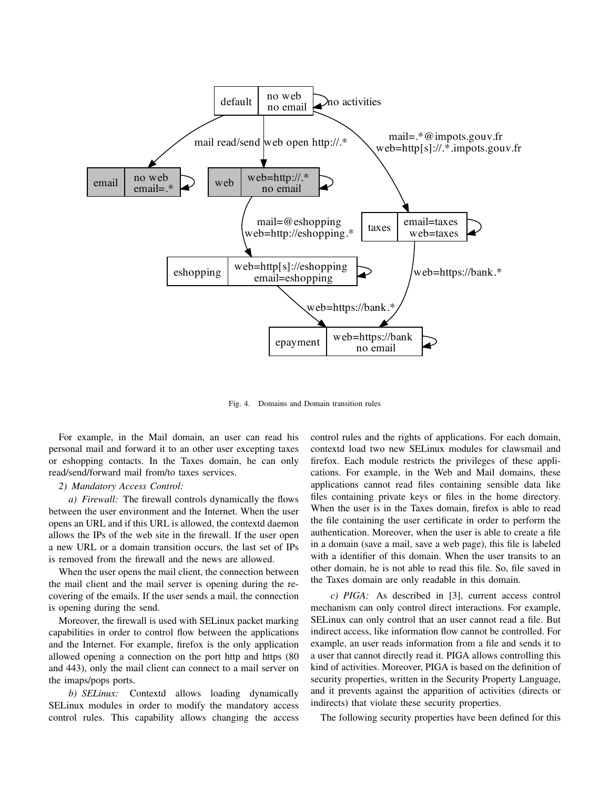

Fig. 4. Domains and Domain transition rules

For example, in the Mail domain, an user can read his personal mail and forward it to an other user excepting taxes or eshopping contacts. In the Taxes domain, he can only read/send/forward mail from/to taxes services.

# *2) Mandatory Access Control:*

*a) Firewall:* The firewall controls dynamically the flows between the user environment and the Internet. When the user opens an URL and if this URL is allowed, the contextd daemon allows the IPs of the web site in the firewall. If the user open a new URL or a domain transition occurs, the last set of IPs is removed from the firewall and the news are allowed.

When the user opens the mail client, the connection between the mail client and the mail server is opening during the recovering of the emails. If the user sends a mail, the connection is opening during the send.

Moreover, the firewall is used with SELinux packet marking capabilities in order to control flow between the applications and the Internet. For example, firefox is the only application allowed opening a connection on the port http and https (80 and 443), only the mail client can connect to a mail server on the imaps/pops ports.

*b) SELinux:* Contextd allows loading dynamically SELinux modules in order to modify the mandatory access control rules. This capability allows changing the access control rules and the rights of applications. For each domain, contextd load two new SELinux modules for clawsmail and firefox. Each module restricts the privileges of these applications. For example, in the Web and Mail domains, these applications cannot read files containing sensible data like files containing private keys or files in the home directory. When the user is in the Taxes domain, firefox is able to read the file containing the user certificate in order to perform the authentication. Moreover, when the user is able to create a file in a domain (save a mail, save a web page), this file is labeled with a identifier of this domain. When the user transits to an other domain, he is not able to read this file. So, file saved in the Taxes domain are only readable in this domain.

*c) PIGA:* As described in [3], current access control mechanism can only control direct interactions. For example, SELinux can only control that an user cannot read a file. But indirect access, like information flow cannot be controlled. For example, an user reads information from a file and sends it to a user that cannot directly read it. PIGA allows controlling this kind of activities. Moreover, PIGA is based on the definition of security properties, written in the Security Property Language, and it prevents against the apparition of activities (directs or indirects) that violate these security properties.

The following security properties have been defined for this